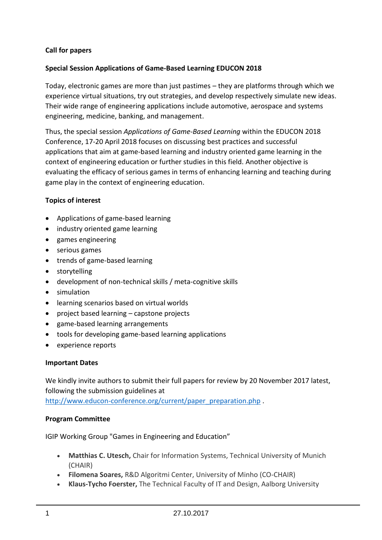# **Call for papers**

## **Special Session Applications of Game-Based Learning EDUCON 2018**

Today, electronic games are more than just pastimes – they are platforms through which we experience virtual situations, try out strategies, and develop respectively simulate new ideas. Their wide range of engineering applications include automotive, aerospace and systems engineering, medicine, banking, and management.

Thus, the special session *Applications of Game-Based Learning* within the EDUCON 2018 Conference, 17-20 April 2018 focuses on discussing best practices and successful applications that aim at game-based learning and industry oriented game learning in the context of engineering education or further studies in this field. Another objective is evaluating the efficacy of serious games in terms of enhancing learning and teaching during game play in the context of engineering education.

# **Topics of interest**

- Applications of game-based learning
- industry oriented game learning
- games engineering
- serious games
- trends of game-based learning
- storytelling
- development of non-technical skills / meta-cognitive skills
- **•** simulation
- learning scenarios based on virtual worlds
- project based learning capstone projects
- game-based learning arrangements
- tools for developing game-based learning applications
- experience reports

### **Important Dates**

We kindly invite authors to submit their full papers for review by 20 November 2017 latest, following the submission guidelines at

[http://www.educon-conference.org/current/paper\\_preparation.php](http://www.educon-conference.org/current/paper_preparation.php) .

### **Program Committee**

IGIP Working Group "Games in Engineering and Education"

- **Matthias C. Utesch,** Chair for Information Systems, Technical University of Munich (CHAIR)
- **Filomena Soares,** R&D Algoritmi Center, University of Minho (CO-CHAIR)
- **Klaus-Tycho Foerster,** The Technical Faculty of IT and Design, Aalborg University